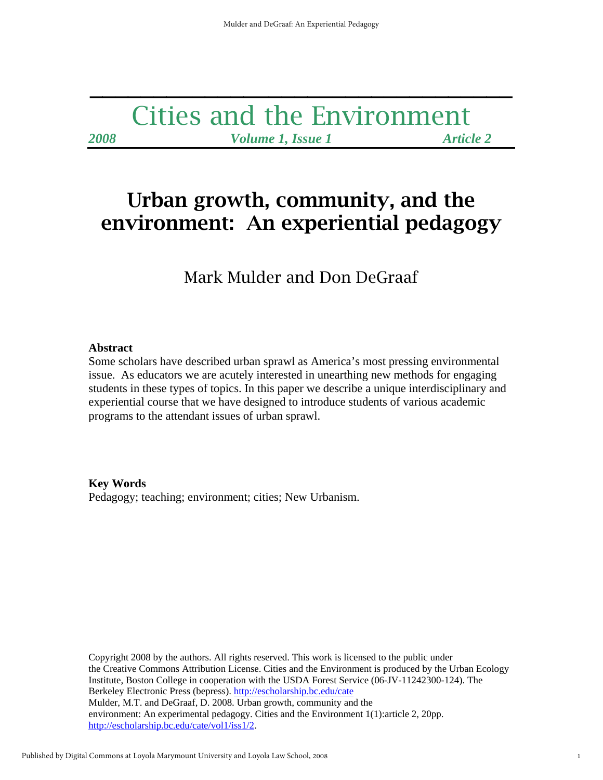## Cities and the Environment *2008 Volume 1, Issue 1 Article 2*

**\_\_\_\_\_\_\_\_\_\_\_\_\_\_\_\_\_\_\_\_\_\_\_\_\_\_\_\_\_\_\_\_\_** 

# Urban growth, community, and the environment: An experiential pedagogy

Mark Mulder and Don DeGraaf

## **Abstract**

Some scholars have described urban sprawl as America's most pressing environmental issue. As educators we are acutely interested in unearthing new methods for engaging students in these types of topics. In this paper we describe a unique interdisciplinary and experiential course that we have designed to introduce students of various academic programs to the attendant issues of urban sprawl.

## **Key Words**

Pedagogy; teaching; environment; cities; New Urbanism.

Copyright 2008 by the authors. All rights reserved. This work is licensed to the public under the Creative Commons Attribution License. Cities and the Environment is produced by the Urban Ecology Institute, Boston College in cooperation with the USDA Forest Service (06-JV-11242300-124). The Berkeley Electronic Press (bepress). http://escholarship.bc.edu/cate Mulder, M.T. and DeGraaf, D. 2008. Urban growth, community and the environment: An experimental pedagogy. Cities and the Environment 1(1):article 2, 20pp. http://escholarship.bc.edu/cate/vol1/iss1/2.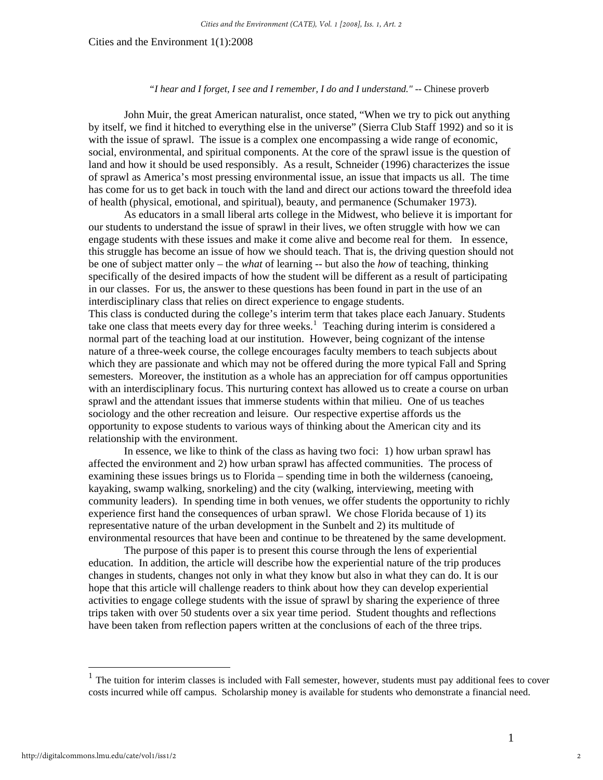#### *"I hear and I forget, I see and I remember, I do and I understand." --* Chinese proverb

John Muir, the great American naturalist, once stated, "When we try to pick out anything by itself, we find it hitched to everything else in the universe" (Sierra Club Staff 1992) and so it is with the issue of sprawl. The issue is a complex one encompassing a wide range of economic, social, environmental, and spiritual components. At the core of the sprawl issue is the question of land and how it should be used responsibly. As a result, Schneider (1996) characterizes the issue of sprawl as America's most pressing environmental issue, an issue that impacts us all. The time has come for us to get back in touch with the land and direct our actions toward the threefold idea of health (physical, emotional, and spiritual), beauty, and permanence (Schumaker 1973).

As educators in a small liberal arts college in the Midwest, who believe it is important for our students to understand the issue of sprawl in their lives, we often struggle with how we can engage students with these issues and make it come alive and become real for them. In essence, this struggle has become an issue of how we should teach. That is, the driving question should not be one of subject matter only – the *what* of learning -- but also the *how* of teaching, thinking specifically of the desired impacts of how the student will be different as a result of participating in our classes. For us, the answer to these questions has been found in part in the use of an interdisciplinary class that relies on direct experience to engage students.

This class is conducted during the college's interim term that takes place each January. Students take one class that meets every day for three weeks.<sup>[1](#page-1-0)</sup> Teaching during interim is considered a normal part of the teaching load at our institution. However, being cognizant of the intense nature of a three-week course, the college encourages faculty members to teach subjects about which they are passionate and which may not be offered during the more typical Fall and Spring semesters. Moreover, the institution as a whole has an appreciation for off campus opportunities with an interdisciplinary focus. This nurturing context has allowed us to create a course on urban sprawl and the attendant issues that immerse students within that milieu. One of us teaches sociology and the other recreation and leisure. Our respective expertise affords us the opportunity to expose students to various ways of thinking about the American city and its relationship with the environment.

In essence, we like to think of the class as having two foci: 1) how urban sprawl has affected the environment and 2) how urban sprawl has affected communities. The process of examining these issues brings us to Florida – spending time in both the wilderness (canoeing, kayaking, swamp walking, snorkeling) and the city (walking, interviewing, meeting with community leaders). In spending time in both venues, we offer students the opportunity to richly experience first hand the consequences of urban sprawl. We chose Florida because of 1) its representative nature of the urban development in the Sunbelt and 2) its multitude of environmental resources that have been and continue to be threatened by the same development.

 The purpose of this paper is to present this course through the lens of experiential education. In addition, the article will describe how the experiential nature of the trip produces changes in students, changes not only in what they know but also in what they can do. It is our hope that this article will challenge readers to think about how they can develop experiential activities to engage college students with the issue of sprawl by sharing the experience of three trips taken with over 50 students over a six year time period. Student thoughts and reflections have been taken from reflection papers written at the conclusions of each of the three trips.

 $\overline{a}$ 

<span id="page-1-0"></span><sup>1</sup> The tuition for interim classes is included with Fall semester, however, students must pay additional fees to cover costs incurred while off campus. Scholarship money is available for students who demonstrate a financial need.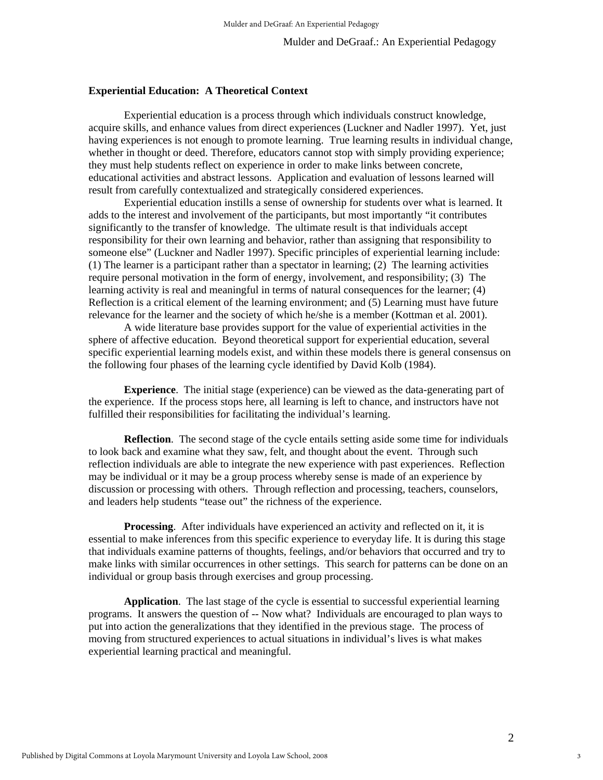#### **Experiential Education: A Theoretical Context**

 Experiential education is a process through which individuals construct knowledge, acquire skills, and enhance values from direct experiences (Luckner and Nadler 1997). Yet, just having experiences is not enough to promote learning. True learning results in individual change, whether in thought or deed. Therefore, educators cannot stop with simply providing experience; they must help students reflect on experience in order to make links between concrete, educational activities and abstract lessons. Application and evaluation of lessons learned will result from carefully contextualized and strategically considered experiences.

 Experiential education instills a sense of ownership for students over what is learned. It adds to the interest and involvement of the participants, but most importantly "it contributes significantly to the transfer of knowledge. The ultimate result is that individuals accept responsibility for their own learning and behavior, rather than assigning that responsibility to someone else" (Luckner and Nadler 1997). Specific principles of experiential learning include: (1) The learner is a participant rather than a spectator in learning; (2) The learning activities require personal motivation in the form of energy, involvement, and responsibility; (3) The learning activity is real and meaningful in terms of natural consequences for the learner; (4) Reflection is a critical element of the learning environment; and (5) Learning must have future relevance for the learner and the society of which he/she is a member (Kottman et al. 2001).

 A wide literature base provides support for the value of experiential activities in the sphere of affective education. Beyond theoretical support for experiential education, several specific experiential learning models exist, and within these models there is general consensus on the following four phases of the learning cycle identified by David Kolb (1984).

**Experience**. The initial stage (experience) can be viewed as the data-generating part of the experience. If the process stops here, all learning is left to chance, and instructors have not fulfilled their responsibilities for facilitating the individual's learning.

**Reflection**. The second stage of the cycle entails setting aside some time for individuals to look back and examine what they saw, felt, and thought about the event. Through such reflection individuals are able to integrate the new experience with past experiences. Reflection may be individual or it may be a group process whereby sense is made of an experience by discussion or processing with others. Through reflection and processing, teachers, counselors, and leaders help students "tease out" the richness of the experience.

**Processing**. After individuals have experienced an activity and reflected on it, it is essential to make inferences from this specific experience to everyday life. It is during this stage that individuals examine patterns of thoughts, feelings, and/or behaviors that occurred and try to make links with similar occurrences in other settings. This search for patterns can be done on an individual or group basis through exercises and group processing.

**Application**. The last stage of the cycle is essential to successful experiential learning programs. It answers the question of -- Now what? Individuals are encouraged to plan ways to put into action the generalizations that they identified in the previous stage. The process of moving from structured experiences to actual situations in individual's lives is what makes experiential learning practical and meaningful.

3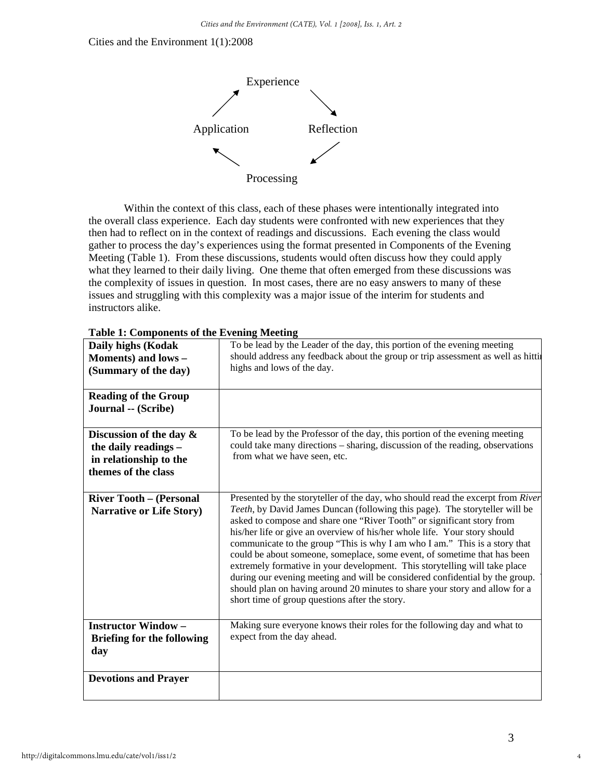

 Within the context of this class, each of these phases were intentionally integrated into the overall class experience. Each day students were confronted with new experiences that they then had to reflect on in the context of readings and discussions. Each evening the class would gather to process the day's experiences using the format presented in Components of the Evening Meeting (Table 1). From these discussions, students would often discuss how they could apply what they learned to their daily living. One theme that often emerged from these discussions was the complexity of issues in question. In most cases, there are no easy answers to many of these issues and struggling with this complexity was a major issue of the interim for students and instructors alike.

| $\frac{1}{2}$ . Components of the Evening meeting                                                   |                                                                                                                                                                                                                                                                                                                                                                                                                                                                                                                                                                                                                                                                                                                                                                                |
|-----------------------------------------------------------------------------------------------------|--------------------------------------------------------------------------------------------------------------------------------------------------------------------------------------------------------------------------------------------------------------------------------------------------------------------------------------------------------------------------------------------------------------------------------------------------------------------------------------------------------------------------------------------------------------------------------------------------------------------------------------------------------------------------------------------------------------------------------------------------------------------------------|
| Daily highs (Kodak<br>Moments) and lows -<br>(Summary of the day)                                   | To be lead by the Leader of the day, this portion of the evening meeting<br>should address any feedback about the group or trip assessment as well as hitti<br>highs and lows of the day.                                                                                                                                                                                                                                                                                                                                                                                                                                                                                                                                                                                      |
| <b>Reading of the Group</b><br>Journal -- (Scribe)                                                  |                                                                                                                                                                                                                                                                                                                                                                                                                                                                                                                                                                                                                                                                                                                                                                                |
| Discussion of the day $\&$<br>the daily readings -<br>in relationship to the<br>themes of the class | To be lead by the Professor of the day, this portion of the evening meeting<br>could take many directions - sharing, discussion of the reading, observations<br>from what we have seen, etc.                                                                                                                                                                                                                                                                                                                                                                                                                                                                                                                                                                                   |
| <b>River Tooth - (Personal</b><br><b>Narrative or Life Story)</b>                                   | Presented by the storyteller of the day, who should read the excerpt from River<br>Teeth, by David James Duncan (following this page). The storyteller will be<br>asked to compose and share one "River Tooth" or significant story from<br>his/her life or give an overview of his/her whole life. Your story should<br>communicate to the group "This is why I am who I am." This is a story that<br>could be about someone, someplace, some event, of sometime that has been<br>extremely formative in your development. This storytelling will take place<br>during our evening meeting and will be considered confidential by the group.<br>should plan on having around 20 minutes to share your story and allow for a<br>short time of group questions after the story. |
| <b>Instructor Window-</b><br><b>Briefing for the following</b><br>day                               | Making sure everyone knows their roles for the following day and what to<br>expect from the day ahead.                                                                                                                                                                                                                                                                                                                                                                                                                                                                                                                                                                                                                                                                         |
| <b>Devotions and Prayer</b>                                                                         |                                                                                                                                                                                                                                                                                                                                                                                                                                                                                                                                                                                                                                                                                                                                                                                |

| <b>Table 1: Components of the Evening Meeting</b> |
|---------------------------------------------------|
|---------------------------------------------------|

4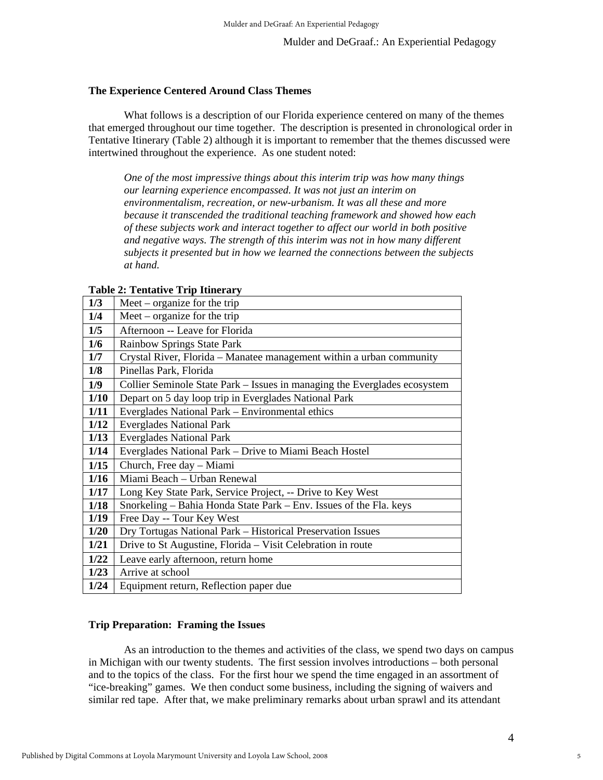#### **The Experience Centered Around Class Themes**

What follows is a description of our Florida experience centered on many of the themes that emerged throughout our time together. The description is presented in chronological order in Tentative Itinerary (Table 2) although it is important to remember that the themes discussed were intertwined throughout the experience. As one student noted:

*One of the most impressive things about this interim trip was how many things our learning experience encompassed. It was not just an interim on environmentalism, recreation, or new-urbanism. It was all these and more because it transcended the traditional teaching framework and showed how each of these subjects work and interact together to affect our world in both positive and negative ways. The strength of this interim was not in how many different subjects it presented but in how we learned the connections between the subjects at hand.* 

| $\blacksquare$ cheater $\blacksquare$ $\blacksquare$ $\blacksquare$ $\blacksquare$ $\blacksquare$ $\blacksquare$ $\blacksquare$ $\blacksquare$ |                                                                           |
|------------------------------------------------------------------------------------------------------------------------------------------------|---------------------------------------------------------------------------|
| 1/3                                                                                                                                            | Meet – organize for the trip                                              |
| 1/4                                                                                                                                            | Meet – organize for the trip                                              |
| 1/5                                                                                                                                            | Afternoon -- Leave for Florida                                            |
| 1/6                                                                                                                                            | <b>Rainbow Springs State Park</b>                                         |
| 1/7                                                                                                                                            | Crystal River, Florida – Manatee management within a urban community      |
| 1/8                                                                                                                                            | Pinellas Park, Florida                                                    |
| 1/9                                                                                                                                            | Collier Seminole State Park – Issues in managing the Everglades ecosystem |
| 1/10                                                                                                                                           | Depart on 5 day loop trip in Everglades National Park                     |
| 1/11                                                                                                                                           | Everglades National Park - Environmental ethics                           |
| 1/12                                                                                                                                           | <b>Everglades National Park</b>                                           |
| 1/13                                                                                                                                           | <b>Everglades National Park</b>                                           |
| 1/14                                                                                                                                           | Everglades National Park – Drive to Miami Beach Hostel                    |
| 1/15                                                                                                                                           | Church, Free day - Miami                                                  |
| 1/16                                                                                                                                           | Miami Beach - Urban Renewal                                               |
| 1/17                                                                                                                                           | Long Key State Park, Service Project, -- Drive to Key West                |
| 1/18                                                                                                                                           | Snorkeling – Bahia Honda State Park – Env. Issues of the Fla. keys        |
| 1/19                                                                                                                                           | Free Day -- Tour Key West                                                 |
| 1/20                                                                                                                                           | Dry Tortugas National Park - Historical Preservation Issues               |
| 1/21                                                                                                                                           | Drive to St Augustine, Florida - Visit Celebration in route               |
| 1/22                                                                                                                                           | Leave early afternoon, return home                                        |
| 1/23                                                                                                                                           | Arrive at school                                                          |
| 1/24                                                                                                                                           | Equipment return, Reflection paper due                                    |

#### **Table 2: Tentative Trip Itinerary**

## **Trip Preparation: Framing the Issues**

As an introduction to the themes and activities of the class, we spend two days on campus in Michigan with our twenty students. The first session involves introductions – both personal and to the topics of the class. For the first hour we spend the time engaged in an assortment of "ice-breaking" games. We then conduct some business, including the signing of waivers and similar red tape. After that, we make preliminary remarks about urban sprawl and its attendant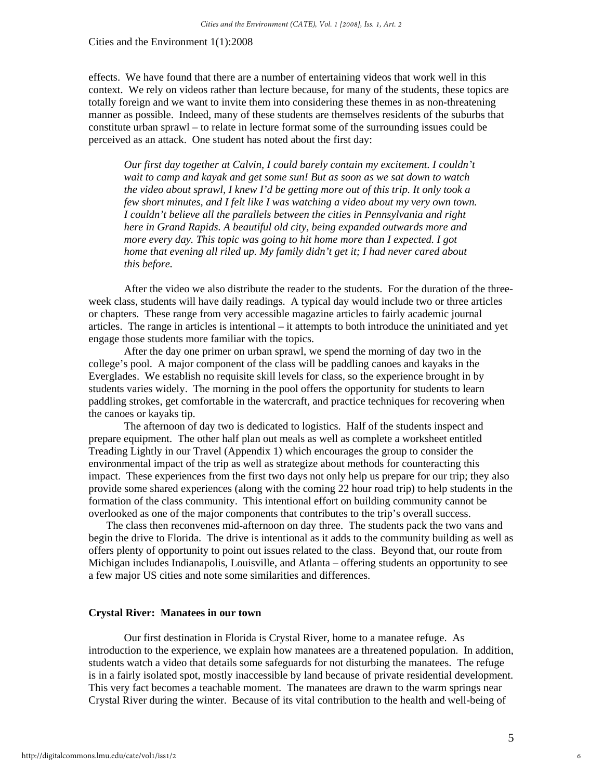effects. We have found that there are a number of entertaining videos that work well in this context. We rely on videos rather than lecture because, for many of the students, these topics are totally foreign and we want to invite them into considering these themes in as non-threatening manner as possible. Indeed, many of these students are themselves residents of the suburbs that constitute urban sprawl – to relate in lecture format some of the surrounding issues could be perceived as an attack. One student has noted about the first day:

*Our first day together at Calvin, I could barely contain my excitement. I couldn't wait to camp and kayak and get some sun! But as soon as we sat down to watch the video about sprawl, I knew I'd be getting more out of this trip. It only took a few short minutes, and I felt like I was watching a video about my very own town. I couldn't believe all the parallels between the cities in Pennsylvania and right here in Grand Rapids. A beautiful old city, being expanded outwards more and more every day. This topic was going to hit home more than I expected. I got home that evening all riled up. My family didn't get it; I had never cared about this before.* 

After the video we also distribute the reader to the students. For the duration of the threeweek class, students will have daily readings. A typical day would include two or three articles or chapters. These range from very accessible magazine articles to fairly academic journal articles. The range in articles is intentional – it attempts to both introduce the uninitiated and yet engage those students more familiar with the topics.

After the day one primer on urban sprawl, we spend the morning of day two in the college's pool. A major component of the class will be paddling canoes and kayaks in the Everglades. We establish no requisite skill levels for class, so the experience brought in by students varies widely. The morning in the pool offers the opportunity for students to learn paddling strokes, get comfortable in the watercraft, and practice techniques for recovering when the canoes or kayaks tip.

The afternoon of day two is dedicated to logistics. Half of the students inspect and prepare equipment. The other half plan out meals as well as complete a worksheet entitled Treading Lightly in our Travel (Appendix 1) which encourages the group to consider the environmental impact of the trip as well as strategize about methods for counteracting this impact. These experiences from the first two days not only help us prepare for our trip; they also provide some shared experiences (along with the coming 22 hour road trip) to help students in the formation of the class community. This intentional effort on building community cannot be overlooked as one of the major components that contributes to the trip's overall success.

The class then reconvenes mid-afternoon on day three. The students pack the two vans and begin the drive to Florida. The drive is intentional as it adds to the community building as well as offers plenty of opportunity to point out issues related to the class. Beyond that, our route from Michigan includes Indianapolis, Louisville, and Atlanta – offering students an opportunity to see a few major US cities and note some similarities and differences.

#### **Crystal River: Manatees in our town**

Our first destination in Florida is Crystal River, home to a manatee refuge. As introduction to the experience, we explain how manatees are a threatened population. In addition, students watch a video that details some safeguards for not disturbing the manatees. The refuge is in a fairly isolated spot, mostly inaccessible by land because of private residential development. This very fact becomes a teachable moment. The manatees are drawn to the warm springs near Crystal River during the winter. Because of its vital contribution to the health and well-being of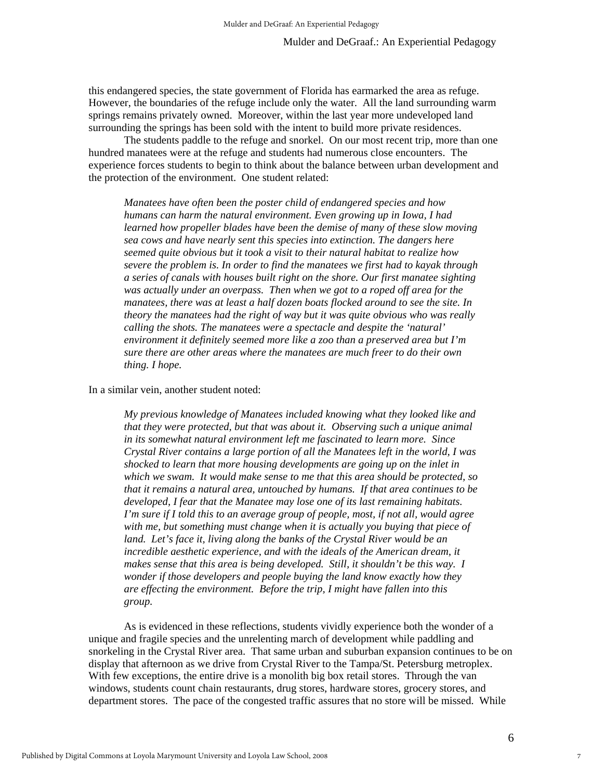this endangered species, the state government of Florida has earmarked the area as refuge. However, the boundaries of the refuge include only the water. All the land surrounding warm springs remains privately owned. Moreover, within the last year more undeveloped land surrounding the springs has been sold with the intent to build more private residences.

The students paddle to the refuge and snorkel. On our most recent trip, more than one hundred manatees were at the refuge and students had numerous close encounters. The experience forces students to begin to think about the balance between urban development and the protection of the environment. One student related:

*Manatees have often been the poster child of endangered species and how humans can harm the natural environment. Even growing up in Iowa, I had learned how propeller blades have been the demise of many of these slow moving sea cows and have nearly sent this species into extinction. The dangers here seemed quite obvious but it took a visit to their natural habitat to realize how severe the problem is. In order to find the manatees we first had to kayak through a series of canals with houses built right on the shore. Our first manatee sighting was actually under an overpass. Then when we got to a roped off area for the manatees, there was at least a half dozen boats flocked around to see the site. In theory the manatees had the right of way but it was quite obvious who was really calling the shots. The manatees were a spectacle and despite the 'natural' environment it definitely seemed more like a zoo than a preserved area but I'm sure there are other areas where the manatees are much freer to do their own thing. I hope.* 

In a similar vein, another student noted:

*My previous knowledge of Manatees included knowing what they looked like and that they were protected, but that was about it. Observing such a unique animal in its somewhat natural environment left me fascinated to learn more. Since Crystal River contains a large portion of all the Manatees left in the world, I was shocked to learn that more housing developments are going up on the inlet in which we swam. It would make sense to me that this area should be protected, so that it remains a natural area, untouched by humans. If that area continues to be developed, I fear that the Manatee may lose one of its last remaining habitats. I'm sure if I told this to an average group of people, most, if not all, would agree with me, but something must change when it is actually you buying that piece of*  land. Let's face it, living along the banks of the Crystal River would be an *incredible aesthetic experience, and with the ideals of the American dream, it* makes sense that this area is being developed. Still, it shouldn't be this way. I *wonder if those developers and people buying the land know exactly how they are effecting the environment. Before the trip, I might have fallen into this group.* 

As is evidenced in these reflections, students vividly experience both the wonder of a unique and fragile species and the unrelenting march of development while paddling and snorkeling in the Crystal River area. That same urban and suburban expansion continues to be on display that afternoon as we drive from Crystal River to the Tampa/St. Petersburg metroplex. With few exceptions, the entire drive is a monolith big box retail stores. Through the van windows, students count chain restaurants, drug stores, hardware stores, grocery stores, and department stores. The pace of the congested traffic assures that no store will be missed. While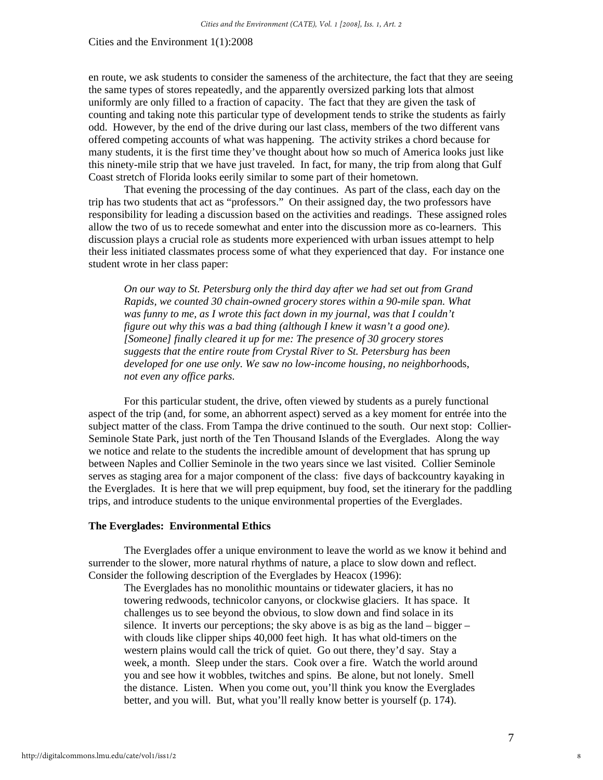en route, we ask students to consider the sameness of the architecture, the fact that they are seeing the same types of stores repeatedly, and the apparently oversized parking lots that almost uniformly are only filled to a fraction of capacity. The fact that they are given the task of counting and taking note this particular type of development tends to strike the students as fairly odd. However, by the end of the drive during our last class, members of the two different vans offered competing accounts of what was happening. The activity strikes a chord because for many students, it is the first time they've thought about how so much of America looks just like this ninety-mile strip that we have just traveled. In fact, for many, the trip from along that Gulf Coast stretch of Florida looks eerily similar to some part of their hometown.

That evening the processing of the day continues. As part of the class, each day on the trip has two students that act as "professors." On their assigned day, the two professors have responsibility for leading a discussion based on the activities and readings. These assigned roles allow the two of us to recede somewhat and enter into the discussion more as co-learners. This discussion plays a crucial role as students more experienced with urban issues attempt to help their less initiated classmates process some of what they experienced that day. For instance one student wrote in her class paper:

*On our way to St. Petersburg only the third day after we had set out from Grand Rapids, we counted 30 chain-owned grocery stores within a 90-mile span. What was funny to me, as I wrote this fact down in my journal, was that I couldn't figure out why this was a bad thing (although I knew it wasn't a good one). [Someone] finally cleared it up for me: The presence of 30 grocery stores suggests that the entire route from Crystal River to St. Petersburg has been developed for one use only. We saw no low-income housing, no neighborho*ods, *not even any office parks.* 

For this particular student, the drive, often viewed by students as a purely functional aspect of the trip (and, for some, an abhorrent aspect) served as a key moment for entrée into the subject matter of the class. From Tampa the drive continued to the south. Our next stop: Collier-Seminole State Park, just north of the Ten Thousand Islands of the Everglades. Along the way we notice and relate to the students the incredible amount of development that has sprung up between Naples and Collier Seminole in the two years since we last visited. Collier Seminole serves as staging area for a major component of the class: five days of backcountry kayaking in the Everglades. It is here that we will prep equipment, buy food, set the itinerary for the paddling trips, and introduce students to the unique environmental properties of the Everglades.

## **The Everglades: Environmental Ethics**

The Everglades offer a unique environment to leave the world as we know it behind and surrender to the slower, more natural rhythms of nature, a place to slow down and reflect. Consider the following description of the Everglades by Heacox (1996):

The Everglades has no monolithic mountains or tidewater glaciers, it has no towering redwoods, technicolor canyons, or clockwise glaciers. It has space. It challenges us to see beyond the obvious, to slow down and find solace in its silence. It inverts our perceptions; the sky above is as big as the land – bigger – with clouds like clipper ships 40,000 feet high. It has what old-timers on the western plains would call the trick of quiet. Go out there, they'd say. Stay a week, a month. Sleep under the stars. Cook over a fire. Watch the world around you and see how it wobbles, twitches and spins. Be alone, but not lonely. Smell the distance. Listen. When you come out, you'll think you know the Everglades better, and you will. But, what you'll really know better is yourself (p. 174).

8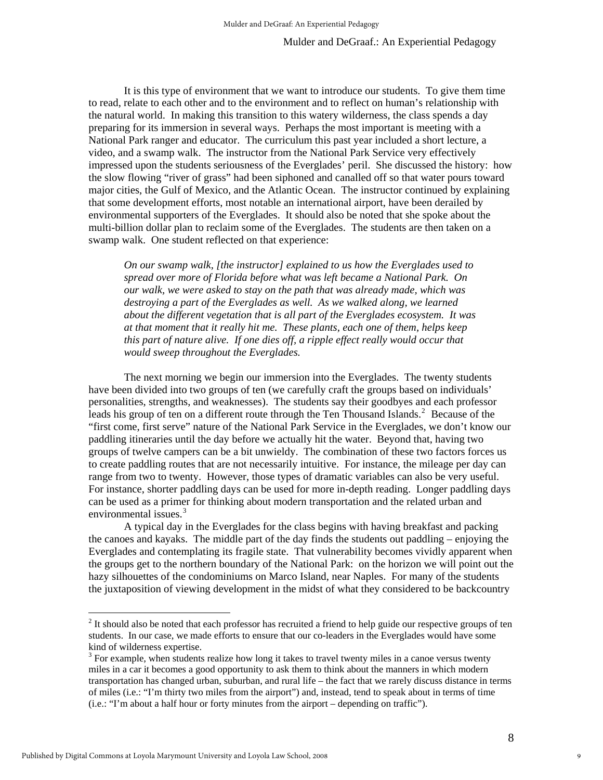It is this type of environment that we want to introduce our students. To give them time to read, relate to each other and to the environment and to reflect on human's relationship with the natural world. In making this transition to this watery wilderness, the class spends a day preparing for its immersion in several ways. Perhaps the most important is meeting with a National Park ranger and educator. The curriculum this past year included a short lecture, a video, and a swamp walk. The instructor from the National Park Service very effectively impressed upon the students seriousness of the Everglades' peril. She discussed the history: how the slow flowing "river of grass" had been siphoned and canalled off so that water pours toward major cities, the Gulf of Mexico, and the Atlantic Ocean. The instructor continued by explaining that some development efforts, most notable an international airport, have been derailed by environmental supporters of the Everglades. It should also be noted that she spoke about the multi-billion dollar plan to reclaim some of the Everglades. The students are then taken on a swamp walk. One student reflected on that experience:

*On our swamp walk, [the instructor] explained to us how the Everglades used to spread over more of Florida before what was left became a National Park. On our walk, we were asked to stay on the path that was already made, which was destroying a part of the Everglades as well. As we walked along, we learned about the different vegetation that is all part of the Everglades ecosystem. It was at that moment that it really hit me. These plants, each one of them, helps keep this part of nature alive. If one dies off, a ripple effect really would occur that would sweep throughout the Everglades.* 

The next morning we begin our immersion into the Everglades. The twenty students have been divided into two groups of ten (we carefully craft the groups based on individuals' personalities, strengths, and weaknesses). The students say their goodbyes and each professor leads his group of ten on a different route through the Ten Thousand Islands. $2$  Because of the "first come, first serve" nature of the National Park Service in the Everglades, we don't know our paddling itineraries until the day before we actually hit the water. Beyond that, having two groups of twelve campers can be a bit unwieldy. The combination of these two factors forces us to create paddling routes that are not necessarily intuitive. For instance, the mileage per day can range from two to twenty. However, those types of dramatic variables can also be very useful. For instance, shorter paddling days can be used for more in-depth reading. Longer paddling days can be used as a primer for thinking about modern transportation and the related urban and environmental issues.<sup>[3](#page-8-1)</sup>

A typical day in the Everglades for the class begins with having breakfast and packing the canoes and kayaks. The middle part of the day finds the students out paddling – enjoying the Everglades and contemplating its fragile state. That vulnerability becomes vividly apparent when the groups get to the northern boundary of the National Park: on the horizon we will point out the hazy silhouettes of the condominiums on Marco Island, near Naples. For many of the students the juxtaposition of viewing development in the midst of what they considered to be backcountry

 $\overline{a}$ 

<span id="page-8-0"></span> $2<sup>2</sup>$  It should also be noted that each professor has recruited a friend to help guide our respective groups of ten students. In our case, we made efforts to ensure that our co-leaders in the Everglades would have some kind of wilderness expertise.

<span id="page-8-1"></span> $3$  For example, when students realize how long it takes to travel twenty miles in a canoe versus twenty miles in a car it becomes a good opportunity to ask them to think about the manners in which modern transportation has changed urban, suburban, and rural life – the fact that we rarely discuss distance in terms of miles (i.e.: "I'm thirty two miles from the airport") and, instead, tend to speak about in terms of time (i.e.: "I'm about a half hour or forty minutes from the airport – depending on traffic").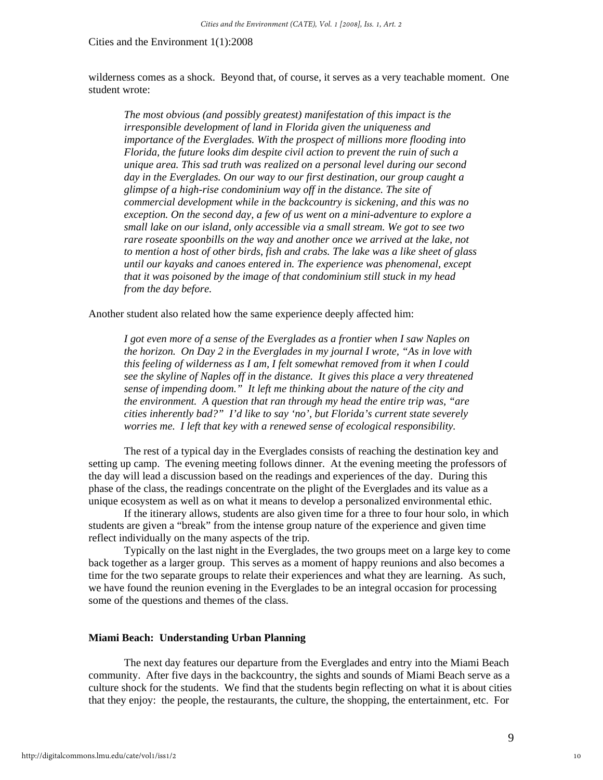wilderness comes as a shock. Beyond that, of course, it serves as a very teachable moment. One student wrote:

*The most obvious (and possibly greatest) manifestation of this impact is the irresponsible development of land in Florida given the uniqueness and importance of the Everglades. With the prospect of millions more flooding into Florida, the future looks dim despite civil action to prevent the ruin of such a unique area. This sad truth was realized on a personal level during our second day in the Everglades. On our way to our first destination, our group caught a glimpse of a high-rise condominium way off in the distance. The site of commercial development while in the backcountry is sickening, and this was no exception. On the second day, a few of us went on a mini-adventure to explore a small lake on our island, only accessible via a small stream. We got to see two*  rare roseate spoonbills on the way and another once we arrived at the lake, not *to mention a host of other birds, fish and crabs. The lake was a like sheet of glass until our kayaks and canoes entered in. The experience was phenomenal, except that it was poisoned by the image of that condominium still stuck in my head from the day before.* 

Another student also related how the same experience deeply affected him:

*I got even more of a sense of the Everglades as a frontier when I saw Naples on the horizon. On Day 2 in the Everglades in my journal I wrote, "As in love with this feeling of wilderness as I am, I felt somewhat removed from it when I could see the skyline of Naples off in the distance. It gives this place a very threatened sense of impending doom." It left me thinking about the nature of the city and the environment. A question that ran through my head the entire trip was, "are cities inherently bad?" I'd like to say 'no', but Florida's current state severely worries me. I left that key with a renewed sense of ecological responsibility.* 

The rest of a typical day in the Everglades consists of reaching the destination key and setting up camp. The evening meeting follows dinner. At the evening meeting the professors of the day will lead a discussion based on the readings and experiences of the day. During this phase of the class, the readings concentrate on the plight of the Everglades and its value as a unique ecosystem as well as on what it means to develop a personalized environmental ethic.

If the itinerary allows, students are also given time for a three to four hour solo, in which students are given a "break" from the intense group nature of the experience and given time reflect individually on the many aspects of the trip.

Typically on the last night in the Everglades, the two groups meet on a large key to come back together as a larger group. This serves as a moment of happy reunions and also becomes a time for the two separate groups to relate their experiences and what they are learning. As such, we have found the reunion evening in the Everglades to be an integral occasion for processing some of the questions and themes of the class.

## **Miami Beach: Understanding Urban Planning**

The next day features our departure from the Everglades and entry into the Miami Beach community. After five days in the backcountry, the sights and sounds of Miami Beach serve as a culture shock for the students. We find that the students begin reflecting on what it is about cities that they enjoy: the people, the restaurants, the culture, the shopping, the entertainment, etc. For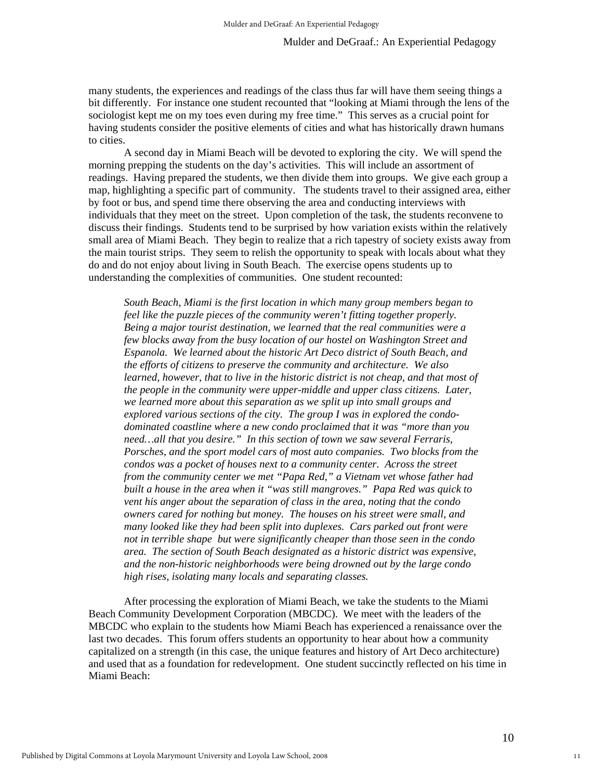many students, the experiences and readings of the class thus far will have them seeing things a bit differently. For instance one student recounted that "looking at Miami through the lens of the sociologist kept me on my toes even during my free time." This serves as a crucial point for having students consider the positive elements of cities and what has historically drawn humans to cities.

A second day in Miami Beach will be devoted to exploring the city. We will spend the morning prepping the students on the day's activities. This will include an assortment of readings. Having prepared the students, we then divide them into groups. We give each group a map, highlighting a specific part of community. The students travel to their assigned area, either by foot or bus, and spend time there observing the area and conducting interviews with individuals that they meet on the street. Upon completion of the task, the students reconvene to discuss their findings. Students tend to be surprised by how variation exists within the relatively small area of Miami Beach. They begin to realize that a rich tapestry of society exists away from the main tourist strips. They seem to relish the opportunity to speak with locals about what they do and do not enjoy about living in South Beach. The exercise opens students up to understanding the complexities of communities. One student recounted:

*South Beach, Miami is the first location in which many group members began to feel like the puzzle pieces of the community weren't fitting together properly. Being a major tourist destination, we learned that the real communities were a few blocks away from the busy location of our hostel on Washington Street and Espanola. We learned about the historic Art Deco district of South Beach, and the efforts of citizens to preserve the community and architecture. We also learned, however, that to live in the historic district is not cheap, and that most of the people in the community were upper-middle and upper class citizens. Later, we learned more about this separation as we split up into small groups and explored various sections of the city. The group I was in explored the condodominated coastline where a new condo proclaimed that it was "more than you need…all that you desire." In this section of town we saw several Ferraris, Porsches, and the sport model cars of most auto companies. Two blocks from the condos was a pocket of houses next to a community center. Across the street from the community center we met "Papa Red," a Vietnam vet whose father had built a house in the area when it "was still mangroves." Papa Red was quick to vent his anger about the separation of class in the area, noting that the condo owners cared for nothing but money. The houses on his street were small, and many looked like they had been split into duplexes. Cars parked out front were not in terrible shape but were significantly cheaper than those seen in the condo area. The section of South Beach designated as a historic district was expensive, and the non-historic neighborhoods were being drowned out by the large condo high rises, isolating many locals and separating classes.* 

After processing the exploration of Miami Beach, we take the students to the Miami Beach Community Development Corporation (MBCDC). We meet with the leaders of the MBCDC who explain to the students how Miami Beach has experienced a renaissance over the last two decades. This forum offers students an opportunity to hear about how a community capitalized on a strength (in this case, the unique features and history of Art Deco architecture) and used that as a foundation for redevelopment. One student succinctly reflected on his time in Miami Beach: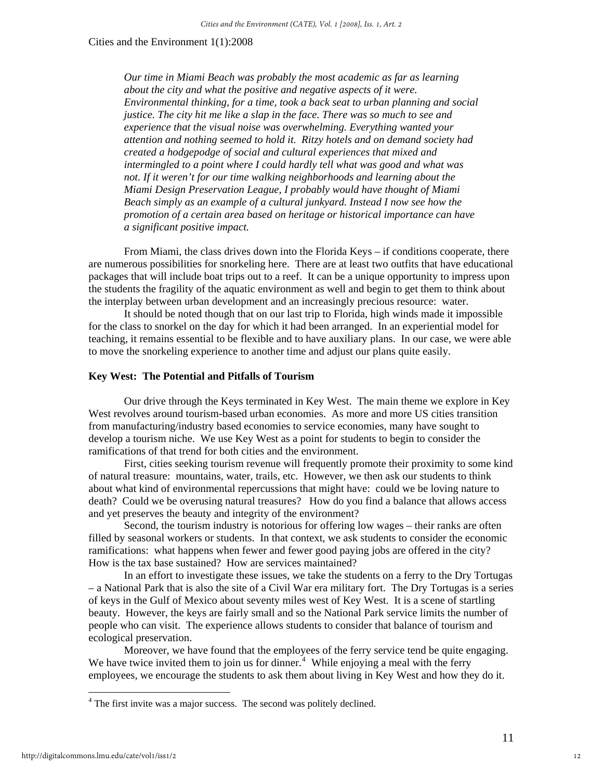*Our time in Miami Beach was probably the most academic as far as learning about the city and what the positive and negative aspects of it were. Environmental thinking, for a time, took a back seat to urban planning and social justice. The city hit me like a slap in the face. There was so much to see and experience that the visual noise was overwhelming. Everything wanted your attention and nothing seemed to hold it. Ritzy hotels and on demand society had created a hodgepodge of social and cultural experiences that mixed and intermingled to a point where I could hardly tell what was good and what was not. If it weren't for our time walking neighborhoods and learning about the Miami Design Preservation League, I probably would have thought of Miami Beach simply as an example of a cultural junkyard. Instead I now see how the promotion of a certain area based on heritage or historical importance can have a significant positive impact.* 

 From Miami, the class drives down into the Florida Keys – if conditions cooperate, there are numerous possibilities for snorkeling here. There are at least two outfits that have educational packages that will include boat trips out to a reef. It can be a unique opportunity to impress upon the students the fragility of the aquatic environment as well and begin to get them to think about the interplay between urban development and an increasingly precious resource: water.

 It should be noted though that on our last trip to Florida, high winds made it impossible for the class to snorkel on the day for which it had been arranged. In an experiential model for teaching, it remains essential to be flexible and to have auxiliary plans. In our case, we were able to move the snorkeling experience to another time and adjust our plans quite easily.

## **Key West: The Potential and Pitfalls of Tourism**

 Our drive through the Keys terminated in Key West. The main theme we explore in Key West revolves around tourism-based urban economies. As more and more US cities transition from manufacturing/industry based economies to service economies, many have sought to develop a tourism niche. We use Key West as a point for students to begin to consider the ramifications of that trend for both cities and the environment.

First, cities seeking tourism revenue will frequently promote their proximity to some kind of natural treasure: mountains, water, trails, etc. However, we then ask our students to think about what kind of environmental repercussions that might have: could we be loving nature to death? Could we be overusing natural treasures? How do you find a balance that allows access and yet preserves the beauty and integrity of the environment?

Second, the tourism industry is notorious for offering low wages – their ranks are often filled by seasonal workers or students. In that context, we ask students to consider the economic ramifications: what happens when fewer and fewer good paying jobs are offered in the city? How is the tax base sustained? How are services maintained?

In an effort to investigate these issues, we take the students on a ferry to the Dry Tortugas – a National Park that is also the site of a Civil War era military fort. The Dry Tortugas is a series of keys in the Gulf of Mexico about seventy miles west of Key West. It is a scene of startling beauty. However, the keys are fairly small and so the National Park service limits the number of people who can visit. The experience allows students to consider that balance of tourism and ecological preservation.

Moreover, we have found that the employees of the ferry service tend be quite engaging. We have twice invited them to join us for dinner.<sup>[4](#page-11-0)</sup> While enjoying a meal with the ferry employees, we encourage the students to ask them about living in Key West and how they do it.

 $\overline{a}$ 

<span id="page-11-0"></span> $4$  The first invite was a major success. The second was politely declined.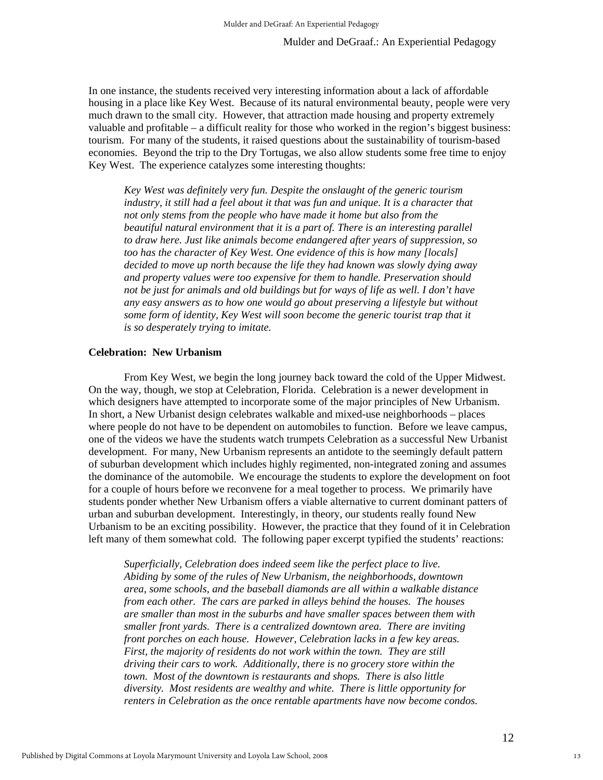In one instance, the students received very interesting information about a lack of affordable housing in a place like Key West. Because of its natural environmental beauty, people were very much drawn to the small city. However, that attraction made housing and property extremely valuable and profitable – a difficult reality for those who worked in the region's biggest business: tourism. For many of the students, it raised questions about the sustainability of tourism-based economies. Beyond the trip to the Dry Tortugas, we also allow students some free time to enjoy Key West. The experience catalyzes some interesting thoughts:

*Key West was definitely very fun. Despite the onslaught of the generic tourism industry, it still had a feel about it that was fun and unique. It is a character that not only stems from the people who have made it home but also from the beautiful natural environment that it is a part of. There is an interesting parallel to draw here. Just like animals become endangered after years of suppression, so too has the character of Key West. One evidence of this is how many [locals] decided to move up north because the life they had known was slowly dying away and property values were too expensive for them to handle. Preservation should not be just for animals and old buildings but for ways of life as well. I don't have any easy answers as to how one would go about preserving a lifestyle but without some form of identity, Key West will soon become the generic tourist trap that it is so desperately trying to imitate.* 

## **Celebration: New Urbanism**

From Key West, we begin the long journey back toward the cold of the Upper Midwest. On the way, though, we stop at Celebration, Florida. Celebration is a newer development in which designers have attempted to incorporate some of the major principles of New Urbanism. In short, a New Urbanist design celebrates walkable and mixed-use neighborhoods – places where people do not have to be dependent on automobiles to function. Before we leave campus, one of the videos we have the students watch trumpets Celebration as a successful New Urbanist development. For many, New Urbanism represents an antidote to the seemingly default pattern of suburban development which includes highly regimented, non-integrated zoning and assumes the dominance of the automobile. We encourage the students to explore the development on foot for a couple of hours before we reconvene for a meal together to process. We primarily have students ponder whether New Urbanism offers a viable alternative to current dominant patters of urban and suburban development. Interestingly, in theory, our students really found New Urbanism to be an exciting possibility. However, the practice that they found of it in Celebration left many of them somewhat cold. The following paper excerpt typified the students' reactions:

*Superficially, Celebration does indeed seem like the perfect place to live. Abiding by some of the rules of New Urbanism, the neighborhoods, downtown area, some schools, and the baseball diamonds are all within a walkable distance from each other. The cars are parked in alleys behind the houses. The houses are smaller than most in the suburbs and have smaller spaces between them with smaller front yards. There is a centralized downtown area. There are inviting front porches on each house. However, Celebration lacks in a few key areas. First, the majority of residents do not work within the town. They are still driving their cars to work. Additionally, there is no grocery store within the town. Most of the downtown is restaurants and shops. There is also little diversity. Most residents are wealthy and white. There is little opportunity for renters in Celebration as the once rentable apartments have now become condos.*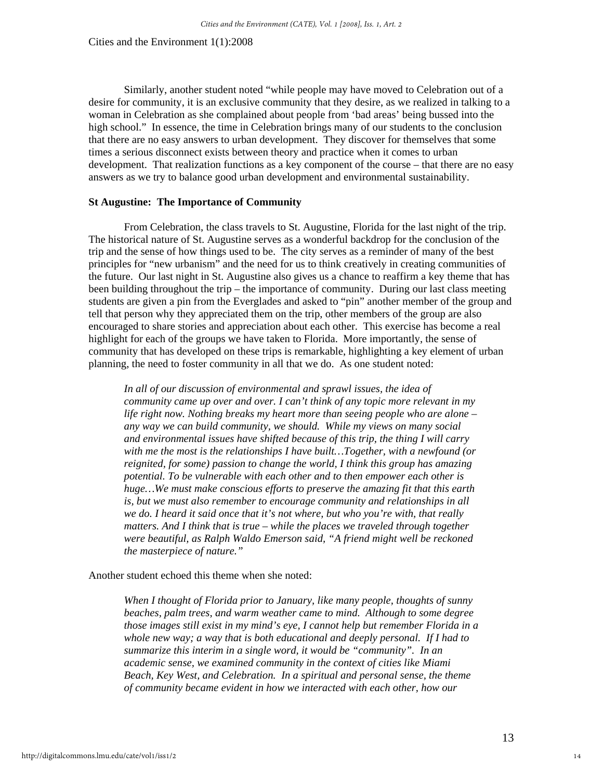Similarly, another student noted "while people may have moved to Celebration out of a desire for community, it is an exclusive community that they desire, as we realized in talking to a woman in Celebration as she complained about people from 'bad areas' being bussed into the high school." In essence, the time in Celebration brings many of our students to the conclusion that there are no easy answers to urban development. They discover for themselves that some times a serious disconnect exists between theory and practice when it comes to urban development. That realization functions as a key component of the course – that there are no easy answers as we try to balance good urban development and environmental sustainability.

#### **St Augustine: The Importance of Community**

From Celebration, the class travels to St. Augustine, Florida for the last night of the trip. The historical nature of St. Augustine serves as a wonderful backdrop for the conclusion of the trip and the sense of how things used to be. The city serves as a reminder of many of the best principles for "new urbanism" and the need for us to think creatively in creating communities of the future. Our last night in St. Augustine also gives us a chance to reaffirm a key theme that has been building throughout the trip – the importance of community. During our last class meeting students are given a pin from the Everglades and asked to "pin" another member of the group and tell that person why they appreciated them on the trip, other members of the group are also encouraged to share stories and appreciation about each other. This exercise has become a real highlight for each of the groups we have taken to Florida. More importantly, the sense of community that has developed on these trips is remarkable, highlighting a key element of urban planning, the need to foster community in all that we do. As one student noted:

*In all of our discussion of environmental and sprawl issues, the idea of community came up over and over. I can't think of any topic more relevant in my life right now. Nothing breaks my heart more than seeing people who are alone – any way we can build community, we should. While my views on many social and environmental issues have shifted because of this trip, the thing I will carry with me the most is the relationships I have built…Together, with a newfound (or reignited, for some) passion to change the world, I think this group has amazing potential. To be vulnerable with each other and to then empower each other is huge…We must make conscious efforts to preserve the amazing fit that this earth is, but we must also remember to encourage community and relationships in all we do. I heard it said once that it's not where, but who you're with, that really matters. And I think that is true – while the places we traveled through together were beautiful, as Ralph Waldo Emerson said, "A friend might well be reckoned the masterpiece of nature."* 

Another student echoed this theme when she noted:

*When I thought of Florida prior to January, like many people, thoughts of sunny beaches, palm trees, and warm weather came to mind. Although to some degree those images still exist in my mind's eye, I cannot help but remember Florida in a whole new way; a way that is both educational and deeply personal. If I had to summarize this interim in a single word, it would be "community". In an academic sense, we examined community in the context of cities like Miami Beach, Key West, and Celebration. In a spiritual and personal sense, the theme of community became evident in how we interacted with each other, how our*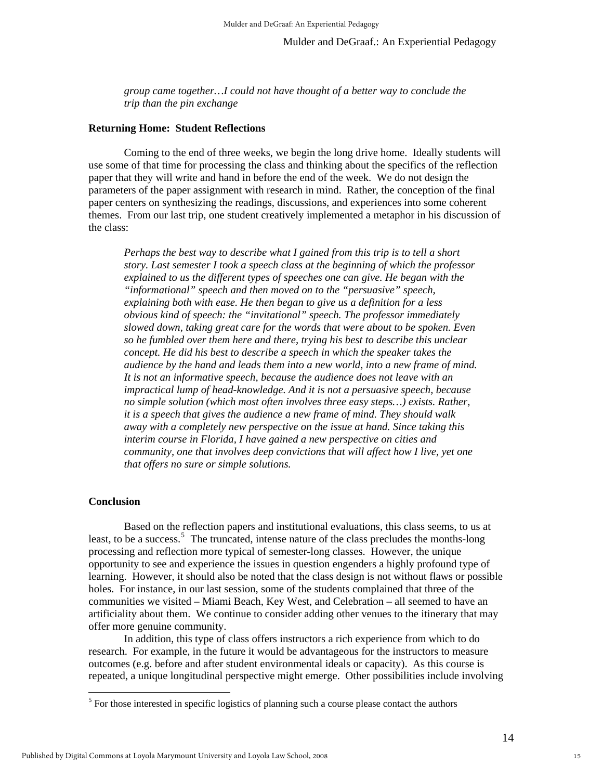*group came together…I could not have thought of a better way to conclude the trip than the pin exchange* 

#### **Returning Home: Student Reflections**

Coming to the end of three weeks, we begin the long drive home. Ideally students will use some of that time for processing the class and thinking about the specifics of the reflection paper that they will write and hand in before the end of the week. We do not design the parameters of the paper assignment with research in mind. Rather, the conception of the final paper centers on synthesizing the readings, discussions, and experiences into some coherent themes. From our last trip, one student creatively implemented a metaphor in his discussion of the class:

*Perhaps the best way to describe what I gained from this trip is to tell a short story. Last semester I took a speech class at the beginning of which the professor explained to us the different types of speeches one can give. He began with the "informational" speech and then moved on to the "persuasive" speech, explaining both with ease. He then began to give us a definition for a less obvious kind of speech: the "invitational" speech. The professor immediately slowed down, taking great care for the words that were about to be spoken. Even so he fumbled over them here and there, trying his best to describe this unclear concept. He did his best to describe a speech in which the speaker takes the audience by the hand and leads them into a new world, into a new frame of mind. It is not an informative speech, because the audience does not leave with an impractical lump of head-knowledge. And it is not a persuasive speech, because no simple solution (which most often involves three easy steps…) exists. Rather, it is a speech that gives the audience a new frame of mind. They should walk away with a completely new perspective on the issue at hand. Since taking this interim course in Florida, I have gained a new perspective on cities and community, one that involves deep convictions that will affect how I live, yet one that offers no sure or simple solutions.* 

#### **Conclusion**

 $\overline{a}$ 

Based on the reflection papers and institutional evaluations, this class seems, to us at least, to be a success.<sup>[5](#page-14-0)</sup> The truncated, intense nature of the class precludes the months-long processing and reflection more typical of semester-long classes. However, the unique opportunity to see and experience the issues in question engenders a highly profound type of learning. However, it should also be noted that the class design is not without flaws or possible holes. For instance, in our last session, some of the students complained that three of the communities we visited – Miami Beach, Key West, and Celebration – all seemed to have an artificiality about them. We continue to consider adding other venues to the itinerary that may offer more genuine community.

In addition, this type of class offers instructors a rich experience from which to do research. For example, in the future it would be advantageous for the instructors to measure outcomes (e.g. before and after student environmental ideals or capacity). As this course is repeated, a unique longitudinal perspective might emerge. Other possibilities include involving

<span id="page-14-0"></span> $<sup>5</sup>$  For those interested in specific logistics of planning such a course please contact the authors</sup>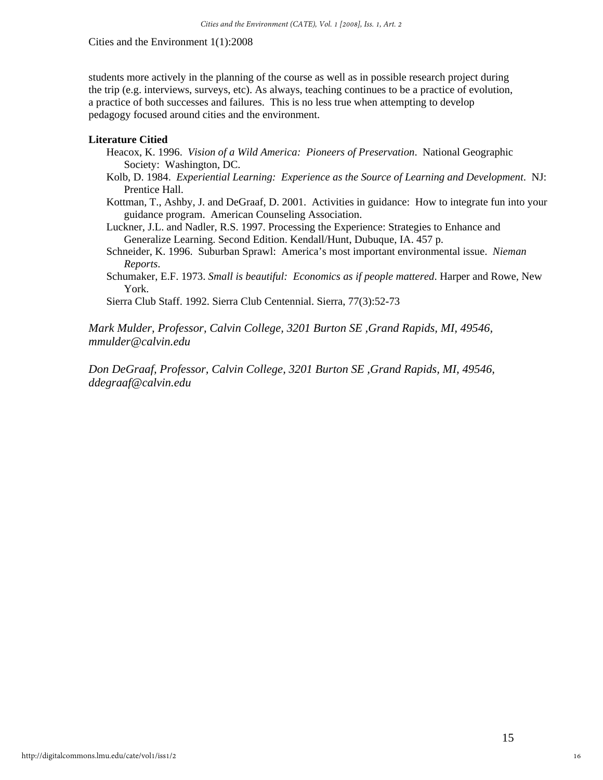students more actively in the planning of the course as well as in possible research project during the trip (e.g. interviews, surveys, etc). As always, teaching continues to be a practice of evolution, a practice of both successes and failures. This is no less true when attempting to develop pedagogy focused around cities and the environment.

## **Literature Citied**

- Heacox, K. 1996. *Vision of a Wild America: Pioneers of Preservation*. National Geographic Society: Washington, DC.
- Kolb, D. 1984. *Experiential Learning: Experience as the Source of Learning and Development*. NJ: Prentice Hall.
- Kottman, T., Ashby, J. and DeGraaf, D. 2001. Activities in guidance: How to integrate fun into your guidance program. American Counseling Association.
- Luckner, J.L. and Nadler, R.S. 1997. Processing the Experience: Strategies to Enhance and Generalize Learning. Second Edition. Kendall/Hunt, Dubuque, IA. 457 p.
- Schneider, K. 1996. Suburban Sprawl: America's most important environmental issue. *Nieman Reports*.
- Schumaker, E.F. 1973. *Small is beautiful: Economics as if people mattered*. Harper and Rowe, New York.

Sierra Club Staff. 1992. Sierra Club Centennial. Sierra, 77(3):52-73

*Mark Mulder, Professor, Calvin College, 3201 Burton SE ,Grand Rapids, MI, 49546, mmulder@calvin.edu* 

*Don DeGraaf, Professor, Calvin College, 3201 Burton SE ,Grand Rapids, MI, 49546, ddegraaf@calvin.edu*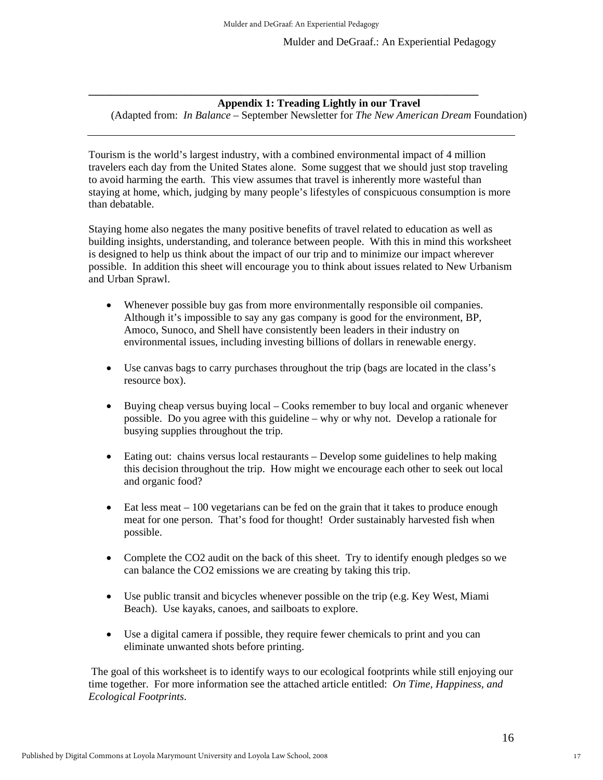**\_\_\_\_\_\_\_\_\_\_\_\_\_\_\_\_\_\_\_\_\_\_\_\_\_\_\_\_\_\_\_\_\_\_\_\_\_\_\_\_\_\_\_\_\_\_\_\_\_\_\_\_\_\_\_\_\_\_\_\_\_\_\_\_\_\_\_\_\_\_\_\_** 

## **Appendix 1: Treading Lightly in our Travel**

(Adapted from: *In Balance* – September Newsletter for *The New American Dream* Foundation)

Tourism is the world's largest industry, with a combined environmental impact of 4 million travelers each day from the United States alone. Some suggest that we should just stop traveling to avoid harming the earth. This view assumes that travel is inherently more wasteful than staying at home, which, judging by many people's lifestyles of conspicuous consumption is more than debatable.

Staying home also negates the many positive benefits of travel related to education as well as building insights, understanding, and tolerance between people. With this in mind this worksheet is designed to help us think about the impact of our trip and to minimize our impact wherever possible. In addition this sheet will encourage you to think about issues related to New Urbanism and Urban Sprawl.

- Whenever possible buy gas from more environmentally responsible oil companies. Although it's impossible to say any gas company is good for the environment, BP, Amoco, Sunoco, and Shell have consistently been leaders in their industry on environmental issues, including investing billions of dollars in renewable energy.
- Use canvas bags to carry purchases throughout the trip (bags are located in the class's resource box).
- Buying cheap versus buying local Cooks remember to buy local and organic whenever possible. Do you agree with this guideline – why or why not. Develop a rationale for busying supplies throughout the trip.
- Eating out: chains versus local restaurants Develop some guidelines to help making this decision throughout the trip. How might we encourage each other to seek out local and organic food?
- Eat less meat  $-100$  vegetarians can be fed on the grain that it takes to produce enough meat for one person. That's food for thought! Order sustainably harvested fish when possible.
- Complete the CO2 audit on the back of this sheet. Try to identify enough pledges so we can balance the CO2 emissions we are creating by taking this trip.
- Use public transit and bicycles whenever possible on the trip (e.g. Key West, Miami Beach). Use kayaks, canoes, and sailboats to explore.
- Use a digital camera if possible, they require fewer chemicals to print and you can eliminate unwanted shots before printing.

 The goal of this worksheet is to identify ways to our ecological footprints while still enjoying our time together. For more information see the attached article entitled: *On Time, Happiness, and Ecological Footprints*.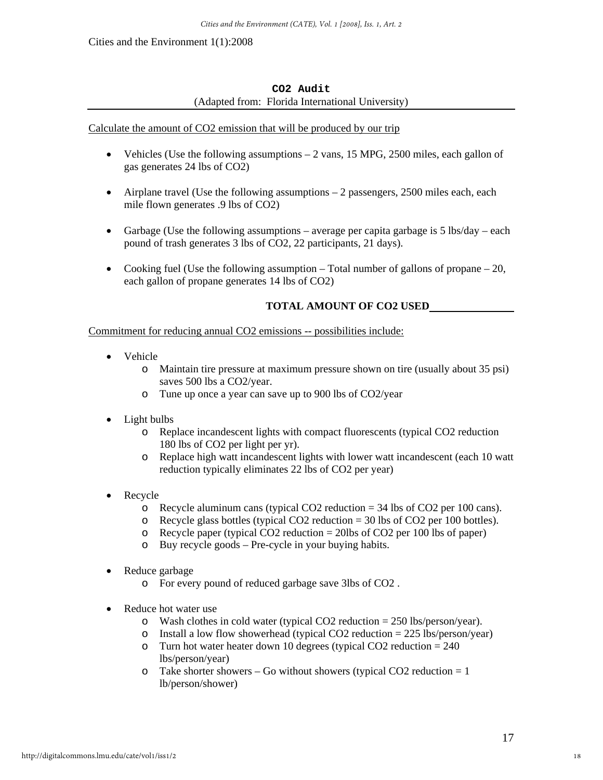## **CO2 Audit**  (Adapted from: Florida International University)

## Calculate the amount of CO2 emission that will be produced by our trip

- Vehicles (Use the following assumptions  $-2$  vans, 15 MPG, 2500 miles, each gallon of gas generates 24 lbs of CO2)
- Airplane travel (Use the following assumptions  $-2$  passengers, 2500 miles each, each mile flown generates .9 lbs of CO2)
- Garbage (Use the following assumptions average per capita garbage is 5 lbs/day each pound of trash generates 3 lbs of CO2, 22 participants, 21 days).
- Cooking fuel (Use the following assumption  $-$  Total number of gallons of propane  $-$  20, each gallon of propane generates 14 lbs of CO2)

## **TOTAL AMOUNT OF CO2 USED**

## Commitment for reducing annual CO2 emissions -- possibilities include:

- Vehicle
	- o Maintain tire pressure at maximum pressure shown on tire (usually about 35 psi) saves 500 lbs a CO2/year.
	- o Tune up once a year can save up to 900 lbs of CO2/year
- Light bulbs
	- o Replace incandescent lights with compact fluorescents (typical CO2 reduction 180 lbs of CO2 per light per yr).
	- o Replace high watt incandescent lights with lower watt incandescent (each 10 watt reduction typically eliminates 22 lbs of CO2 per year)
- **Recycle** 
	- o Recycle aluminum cans (typical CO2 reduction = 34 lbs of CO2 per 100 cans).
	- o Recycle glass bottles (typical CO2 reduction  $=$  30 lbs of CO2 per 100 bottles).
	- o Recycle paper (typical CO2 reduction = 20lbs of CO2 per 100 lbs of paper)
	- o Buy recycle goods Pre-cycle in your buying habits.
- Reduce garbage
	- o For every pound of reduced garbage save 3lbs of CO2 .
- Reduce hot water use
	- o Wash clothes in cold water (typical CO2 reduction = 250 lbs/person/year).
	- o Install a low flow showerhead (typical CO2 reduction  $= 225$  lbs/person/year)
	- $\circ$  Turn hot water heater down 10 degrees (typical CO2 reduction = 240 lbs/person/year)
	- $\circ$  Take shorter showers Go without showers (typical CO2 reduction = 1 lb/person/shower)